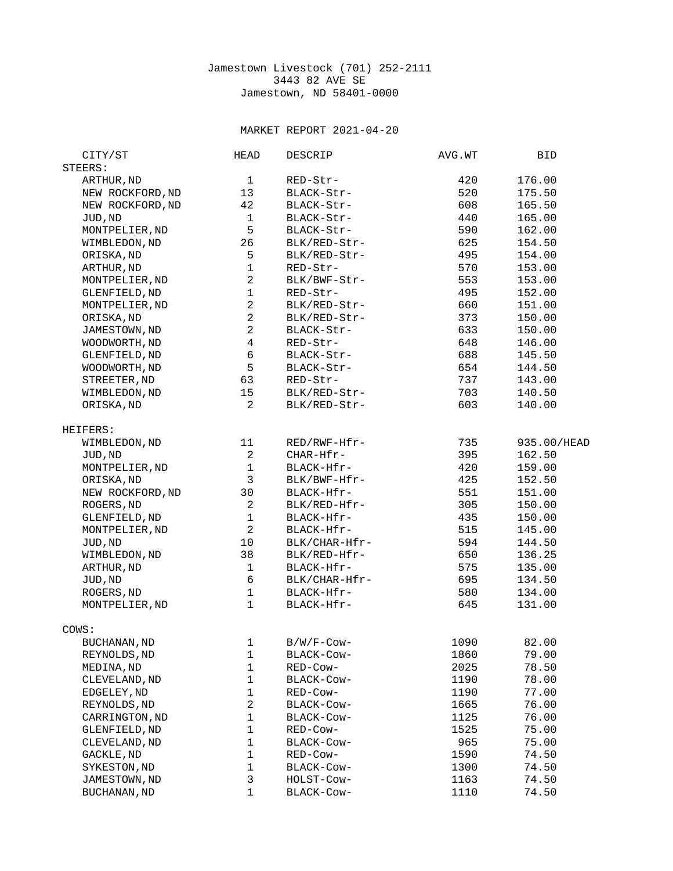## Jamestown Livestock (701) 252-2111 3443 82 AVE SE Jamestown, ND 58401-0000

## MARKET REPORT 2021-04-20

| CITY/ST             | <b>HEAD</b>    | DESCRIP       | AVG.WT | <b>BID</b>  |
|---------------------|----------------|---------------|--------|-------------|
| STEERS:             |                |               |        |             |
| ARTHUR, ND          | $\mathbf 1$    | RED-Str-      | 420    | 176.00      |
| NEW ROCKFORD, ND    | 13             | BLACK-Str-    | 520    | 175.50      |
| NEW ROCKFORD, ND    | 42             | BLACK-Str-    | 608    | 165.50      |
| JUD, ND             | $\mathbf{1}$   | BLACK-Str-    | 440    | 165.00      |
| MONTPELIER, ND      | 5              | BLACK-Str-    | 590    | 162.00      |
| WIMBLEDON, ND       | 26             | BLK/RED-Str-  | 625    | 154.50      |
| ORISKA, ND          | 5              | BLK/RED-Str-  | 495    | 154.00      |
| ARTHUR, ND          | $\mathbf{1}$   | RED-Str-      | 570    | 153.00      |
| MONTPELIER, ND      | $\overline{c}$ | BLK/BWF-Str-  | 553    | 153.00      |
| GLENFIELD, ND       | $\mathbf 1$    | RED-Str-      | 495    | 152.00      |
| MONTPELIER, ND      | $\overline{c}$ | BLK/RED-Str-  | 660    | 151.00      |
| ORISKA, ND          | $\overline{c}$ | BLK/RED-Str-  | 373    | 150.00      |
| JAMESTOWN, ND       | $\overline{c}$ | BLACK-Str-    | 633    | 150.00      |
| WOODWORTH, ND       | $\overline{4}$ | RED-Str-      | 648    | 146.00      |
| GLENFIELD, ND       | 6              | BLACK-Str-    | 688    | 145.50      |
| WOODWORTH, ND       | 5              | BLACK-Str-    | 654    | 144.50      |
| STREETER, ND        | 63             | RED-Str-      | 737    | 143.00      |
| WIMBLEDON, ND       | 15             | BLK/RED-Str-  | 703    | 140.50      |
| ORISKA, ND          | $\overline{2}$ | BLK/RED-Str-  | 603    | 140.00      |
|                     |                |               |        |             |
| HEIFERS:            |                |               |        |             |
| WIMBLEDON, ND       | 11             | RED/RWF-Hfr-  | 735    | 935.00/HEAD |
| JUD, ND             | $\overline{c}$ | CHAR-Hfr-     | 395    | 162.50      |
| MONTPELIER, ND      | $\mathbf 1$    | BLACK-Hfr-    | 420    | 159.00      |
| ORISKA, ND          | 3              | BLK/BWF-Hfr-  | 425    | 152.50      |
| NEW ROCKFORD, ND    | 30             | BLACK-Hfr-    | 551    | 151.00      |
| ROGERS, ND          | $\overline{c}$ | BLK/RED-Hfr-  | 305    | 150.00      |
| GLENFIELD, ND       | $\mathbf 1$    | BLACK-Hfr-    | 435    | 150.00      |
| MONTPELIER, ND      | $\overline{c}$ | BLACK-Hfr-    | 515    | 145.00      |
| JUD, ND             | 10             | BLK/CHAR-Hfr- | 594    | 144.50      |
| WIMBLEDON, ND       | 38             | BLK/RED-Hfr-  | 650    | 136.25      |
| ARTHUR, ND          | 1              | BLACK-Hfr-    | 575    | 135.00      |
| JUD, ND             | $\,6$          | BLK/CHAR-Hfr- | 695    | 134.50      |
| ROGERS, ND          | $\mathbf 1$    | BLACK-Hfr-    | 580    | 134.00      |
| MONTPELIER, ND      | $\mathbf{1}$   | BLACK-Hfr-    | 645    | 131.00      |
|                     |                |               |        |             |
| COWS:               |                |               |        |             |
| BUCHANAN, ND        | 1              | B/W/F-Cow-    | 1090   | 82.00       |
| REYNOLDS, ND        | 1              | BLACK-Cow-    | 1860   | 79.00       |
| MEDINA, ND          | 1              | RED-Cow-      | 2025   | 78.50       |
| CLEVELAND, ND       | $\mathbf 1$    | BLACK-Cow-    | 1190   | 78.00       |
| EDGELEY, ND         | 1              | RED-Cow-      | 1190   | 77.00       |
| REYNOLDS, ND        | $\overline{c}$ | BLACK-Cow-    | 1665   | 76.00       |
| CARRINGTON, ND      | $\mathbf 1$    | BLACK-Cow-    | 1125   | 76.00       |
| GLENFIELD, ND       | $\mathbf 1$    | RED-Cow-      | 1525   | 75.00       |
| CLEVELAND, ND       | $\mathbf 1$    | BLACK-Cow-    | 965    | 75.00       |
| GACKLE, ND          | $\mathbf 1$    | RED-Cow-      | 1590   | 74.50       |
| SYKESTON, ND        | $\mathbf 1$    | BLACK-Cow-    | 1300   | 74.50       |
| JAMESTOWN, ND       | 3              | HOLST-COW-    | 1163   | 74.50       |
| <b>BUCHANAN, ND</b> | 1              | BLACK-Cow-    | 1110   | 74.50       |